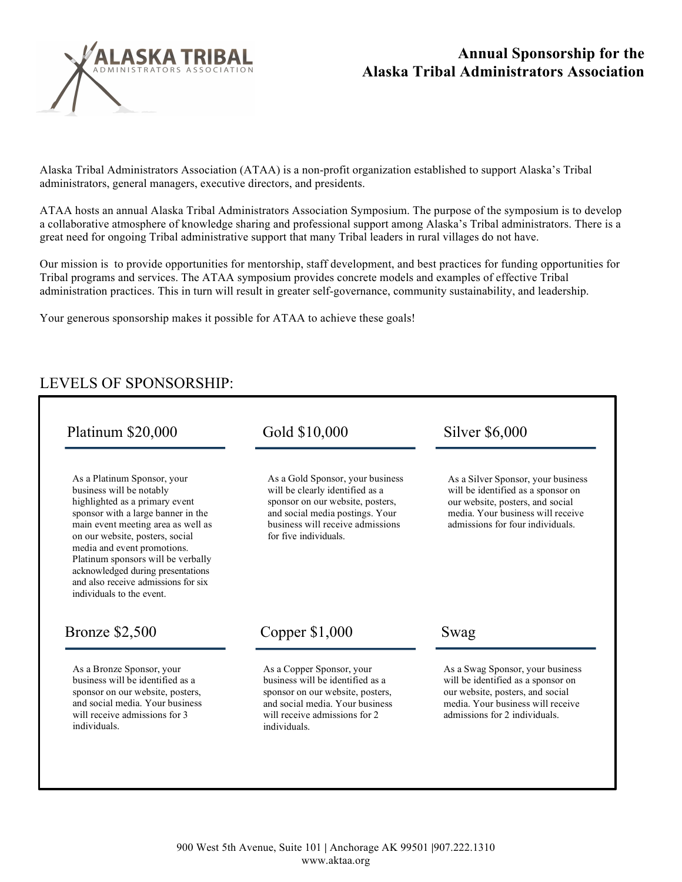

## **Annual Sponsorship for the Alaska Tribal Administrators Association**

Alaska Tribal Administrators Association (ATAA) is a non-profit organization established to support Alaska's Tribal administrators, general managers, executive directors, and presidents.

ATAA hosts an annual Alaska Tribal Administrators Association Symposium. The purpose of the symposium is to develop a collaborative atmosphere of knowledge sharing and professional support among Alaska's Tribal administrators. There is a great need for ongoing Tribal administrative support that many Tribal leaders in rural villages do not have.

Our mission is to provide opportunities for mentorship, staff development, and best practices for funding opportunities for Tribal programs and services. The ATAA symposium provides concrete models and examples of effective Tribal administration practices. This in turn will result in greater self-governance, community sustainability, and leadership.

Your generous sponsorship makes it possible for ATAA to achieve these goals!

## LEVELS OF SPONSORSHIP:

| Platinum \$20,000                                                                                                                                                                                                                                                                                                                                                                      | Gold \$10,000                                                                                                                                                                                          | Silver \$6,000<br>As a Silver Sponsor, your business<br>will be identified as a sponsor on<br>our website, posters, and social<br>media. Your business will receive<br>admissions for four individuals.<br>Swag |  |
|----------------------------------------------------------------------------------------------------------------------------------------------------------------------------------------------------------------------------------------------------------------------------------------------------------------------------------------------------------------------------------------|--------------------------------------------------------------------------------------------------------------------------------------------------------------------------------------------------------|-----------------------------------------------------------------------------------------------------------------------------------------------------------------------------------------------------------------|--|
| As a Platinum Sponsor, your<br>business will be notably<br>highlighted as a primary event<br>sponsor with a large banner in the<br>main event meeting area as well as<br>on our website, posters, social<br>media and event promotions.<br>Platinum sponsors will be verbally<br>acknowledged during presentations<br>and also receive admissions for six<br>individuals to the event. | As a Gold Sponsor, your business<br>will be clearly identified as a<br>sponsor on our website, posters,<br>and social media postings. Your<br>business will receive admissions<br>for five individuals |                                                                                                                                                                                                                 |  |
| <b>Bronze</b> \$2,500                                                                                                                                                                                                                                                                                                                                                                  | Copper \$1,000                                                                                                                                                                                         |                                                                                                                                                                                                                 |  |
|                                                                                                                                                                                                                                                                                                                                                                                        |                                                                                                                                                                                                        |                                                                                                                                                                                                                 |  |